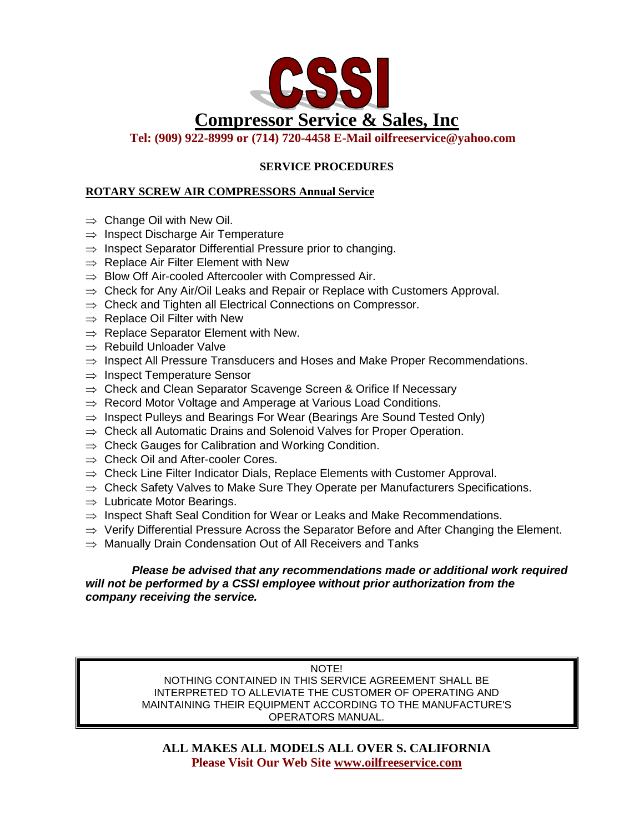

 **Tel: (909) 922-8999 or (714) 720-4458 E-Mail oilfreeservice@yahoo.com** 

## **SERVICE PROCEDURES**

## **ROTARY SCREW AIR COMPRESSORS Annual Service**

- $\Rightarrow$  Change Oil with New Oil.
- $\Rightarrow$  Inspect Discharge Air Temperature
- $\Rightarrow$  Inspect Separator Differential Pressure prior to changing.
- $\Rightarrow$  Replace Air Filter Element with New
- $\Rightarrow$  Blow Off Air-cooled Aftercooler with Compressed Air.
- $\Rightarrow$  Check for Any Air/Oil Leaks and Repair or Replace with Customers Approval.
- $\Rightarrow$  Check and Tighten all Electrical Connections on Compressor.
- $\Rightarrow$  Replace Oil Filter with New
- $\Rightarrow$  Replace Separator Element with New.
- $\Rightarrow$  Rebuild Unloader Valve
- $\Rightarrow$  Inspect All Pressure Transducers and Hoses and Make Proper Recommendations.
- $\Rightarrow$  Inspect Temperature Sensor
- $\Rightarrow$  Check and Clean Separator Scavenge Screen & Orifice If Necessary
- $\Rightarrow$  Record Motor Voltage and Amperage at Various Load Conditions.
- $\Rightarrow$  Inspect Pulleys and Bearings For Wear (Bearings Are Sound Tested Only)
- $\Rightarrow$  Check all Automatic Drains and Solenoid Valves for Proper Operation.
- $\Rightarrow$  Check Gauges for Calibration and Working Condition.
- $\Rightarrow$  Check Oil and After-cooler Cores.
- $\Rightarrow$  Check Line Filter Indicator Dials, Replace Elements with Customer Approval.
- $\Rightarrow$  Check Safety Valves to Make Sure They Operate per Manufacturers Specifications.
- $\Rightarrow$  Lubricate Motor Bearings.
- $\Rightarrow$  Inspect Shaft Seal Condition for Wear or Leaks and Make Recommendations.
- $\Rightarrow$  Verify Differential Pressure Across the Separator Before and After Changing the Element.
- $\Rightarrow$  Manually Drain Condensation Out of All Receivers and Tanks

### *Please be advised that any recommendations made or additional work required will not be performed by a CSSI employee without prior authorization from the company receiving the service.*

NOTE! NOTHING CONTAINED IN THIS SERVICE AGREEMENT SHALL BE INTERPRETED TO ALLEVIATE THE CUSTOMER OF OPERATING AND MAINTAINING THEIR EQUIPMENT ACCORDING TO THE MANUFACTURE'S OPERATORS MANUAL.

**ALL MAKES ALL MODELS ALL OVER S. CALIFORNIA Please Visit Our Web Site [www.oilfreeservice.](http://www.oilfreeservice/)com**